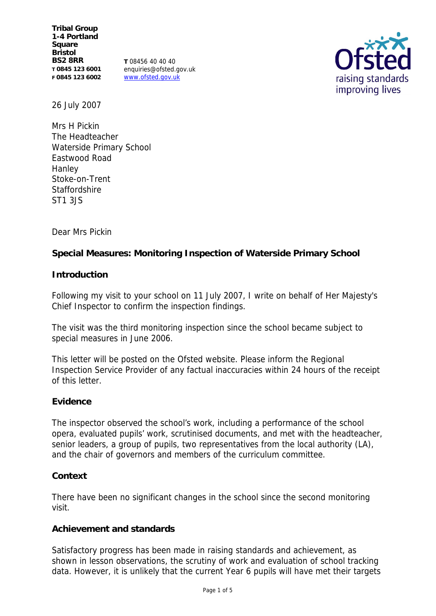**Tribal Group 1-4 Portland Square Bristol BS2 8RR T 0845 123 6001 F 0845 123 6002**

**T** 08456 40 40 40 enquiries@ofsted.gov.uk www.ofsted.gov.uk



26 July 2007

Mrs H Pickin The Headteacher Waterside Primary School Eastwood Road Hanley Stoke-on-Trent Staffordshire ST1 3JS

Dear Mrs Pickin

**Special Measures: Monitoring Inspection of Waterside Primary School**

**Introduction**

Following my visit to your school on 11 July 2007, I write on behalf of Her Majesty's Chief Inspector to confirm the inspection findings.

The visit was the third monitoring inspection since the school became subject to special measures in June 2006.

This letter will be posted on the Ofsted website. Please inform the Regional Inspection Service Provider of any factual inaccuracies within 24 hours of the receipt of this letter.

# **Evidence**

The inspector observed the school's work, including a performance of the school opera, evaluated pupils' work, scrutinised documents, and met with the headteacher, senior leaders, a group of pupils, two representatives from the local authority (LA), and the chair of governors and members of the curriculum committee.

## **Context**

There have been no significant changes in the school since the second monitoring visit.

# **Achievement and standards**

Satisfactory progress has been made in raising standards and achievement, as shown in lesson observations, the scrutiny of work and evaluation of school tracking data. However, it is unlikely that the current Year 6 pupils will have met their targets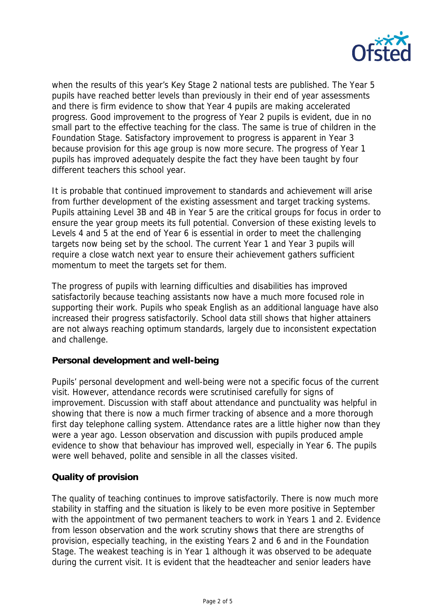

when the results of this year's Key Stage 2 national tests are published. The Year 5 pupils have reached better levels than previously in their end of year assessments and there is firm evidence to show that Year 4 pupils are making accelerated progress. Good improvement to the progress of Year 2 pupils is evident, due in no small part to the effective teaching for the class. The same is true of children in the Foundation Stage. Satisfactory improvement to progress is apparent in Year 3 because provision for this age group is now more secure. The progress of Year 1 pupils has improved adequately despite the fact they have been taught by four different teachers this school year.

It is probable that continued improvement to standards and achievement will arise from further development of the existing assessment and target tracking systems. Pupils attaining Level 3B and 4B in Year 5 are the critical groups for focus in order to ensure the year group meets its full potential. Conversion of these existing levels to Levels 4 and 5 at the end of Year 6 is essential in order to meet the challenging targets now being set by the school. The current Year 1 and Year 3 pupils will require a close watch next year to ensure their achievement gathers sufficient momentum to meet the targets set for them.

The progress of pupils with learning difficulties and disabilities has improved satisfactorily because teaching assistants now have a much more focused role in supporting their work. Pupils who speak English as an additional language have also increased their progress satisfactorily. School data still shows that higher attainers are not always reaching optimum standards, largely due to inconsistent expectation and challenge.

## **Personal development and well-being**

Pupils' personal development and well-being were not a specific focus of the current visit. However, attendance records were scrutinised carefully for signs of improvement. Discussion with staff about attendance and punctuality was helpful in showing that there is now a much firmer tracking of absence and a more thorough first day telephone calling system. Attendance rates are a little higher now than they were a year ago. Lesson observation and discussion with pupils produced ample evidence to show that behaviour has improved well, especially in Year 6. The pupils were well behaved, polite and sensible in all the classes visited.

# **Quality of provision**

The quality of teaching continues to improve satisfactorily. There is now much more stability in staffing and the situation is likely to be even more positive in September with the appointment of two permanent teachers to work in Years 1 and 2. Evidence from lesson observation and the work scrutiny shows that there are strengths of provision, especially teaching, in the existing Years 2 and 6 and in the Foundation Stage. The weakest teaching is in Year 1 although it was observed to be adequate during the current visit. It is evident that the headteacher and senior leaders have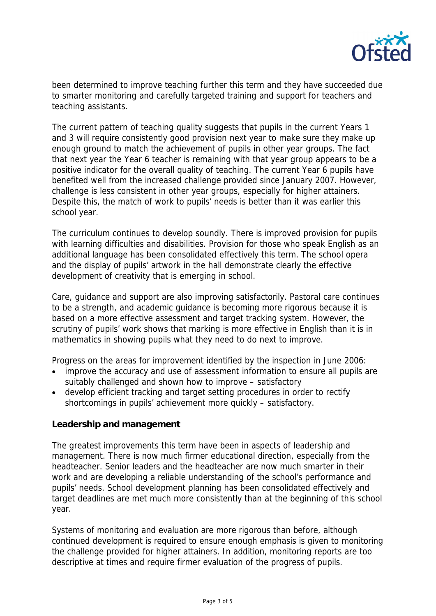

been determined to improve teaching further this term and they have succeeded due to smarter monitoring and carefully targeted training and support for teachers and teaching assistants.

The current pattern of teaching quality suggests that pupils in the current Years 1 and 3 will require consistently good provision next year to make sure they make up enough ground to match the achievement of pupils in other year groups. The fact that next year the Year 6 teacher is remaining with that year group appears to be a positive indicator for the overall quality of teaching. The current Year 6 pupils have benefited well from the increased challenge provided since January 2007. However, challenge is less consistent in other year groups, especially for higher attainers. Despite this, the match of work to pupils' needs is better than it was earlier this school year.

The curriculum continues to develop soundly. There is improved provision for pupils with learning difficulties and disabilities. Provision for those who speak English as an additional language has been consolidated effectively this term. The school opera and the display of pupils' artwork in the hall demonstrate clearly the effective development of creativity that is emerging in school.

Care, guidance and support are also improving satisfactorily. Pastoral care continues to be a strength, and academic guidance is becoming more rigorous because it is based on a more effective assessment and target tracking system. However, the scrutiny of pupils' work shows that marking is more effective in English than it is in mathematics in showing pupils what they need to do next to improve.

Progress on the areas for improvement identified by the inspection in June 2006:

- improve the accuracy and use of assessment information to ensure all pupils are suitably challenged and shown how to improve – satisfactory
- develop efficient tracking and target setting procedures in order to rectify shortcomings in pupils' achievement more quickly – satisfactory.

# **Leadership and management**

The greatest improvements this term have been in aspects of leadership and management. There is now much firmer educational direction, especially from the headteacher. Senior leaders and the headteacher are now much smarter in their work and are developing a reliable understanding of the school's performance and pupils' needs. School development planning has been consolidated effectively and target deadlines are met much more consistently than at the beginning of this school year.

Systems of monitoring and evaluation are more rigorous than before, although continued development is required to ensure enough emphasis is given to monitoring the challenge provided for higher attainers. In addition, monitoring reports are too descriptive at times and require firmer evaluation of the progress of pupils.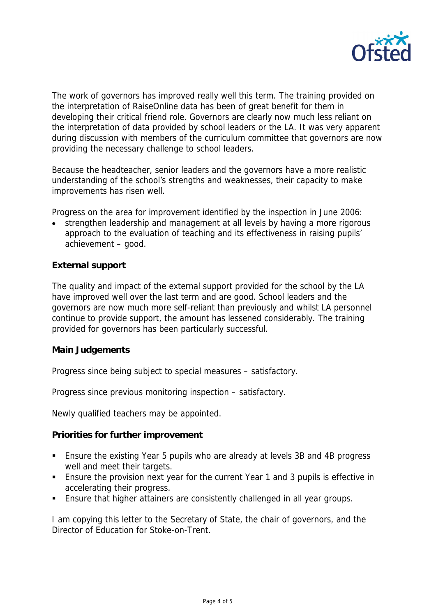

The work of governors has improved really well this term. The training provided on the interpretation of RaiseOnline data has been of great benefit for them in developing their critical friend role. Governors are clearly now much less reliant on the interpretation of data provided by school leaders or the LA. It was very apparent during discussion with members of the curriculum committee that governors are now providing the necessary challenge to school leaders.

Because the headteacher, senior leaders and the governors have a more realistic understanding of the school's strengths and weaknesses, their capacity to make improvements has risen well.

Progress on the area for improvement identified by the inspection in June 2006:

 strengthen leadership and management at all levels by having a more rigorous approach to the evaluation of teaching and its effectiveness in raising pupils' achievement – good.

# **External support**

The quality and impact of the external support provided for the school by the LA have improved well over the last term and are good. School leaders and the governors are now much more self-reliant than previously and whilst LA personnel continue to provide support, the amount has lessened considerably. The training provided for governors has been particularly successful.

## **Main Judgements**

Progress since being subject to special measures – satisfactory.

Progress since previous monitoring inspection – satisfactory.

Newly qualified teachers may be appointed.

**Priorities for further improvement**

- Ensure the existing Year 5 pupils who are already at levels 3B and 4B progress well and meet their targets.
- Ensure the provision next year for the current Year 1 and 3 pupils is effective in accelerating their progress.
- Ensure that higher attainers are consistently challenged in all year groups.

I am copying this letter to the Secretary of State, the chair of governors, and the Director of Education for Stoke-on-Trent.